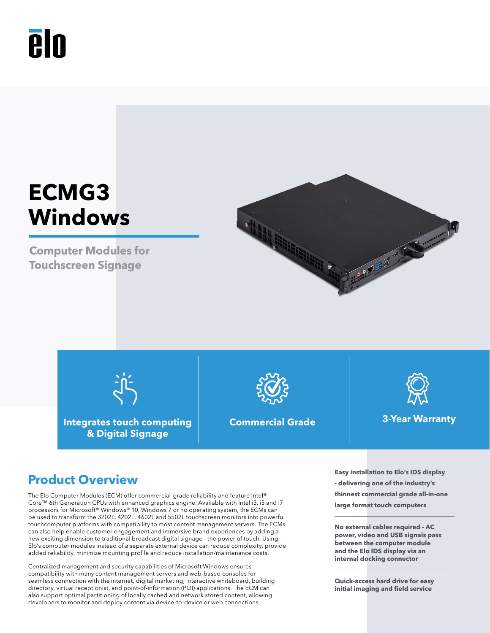# **PIN**

## **ECMG3 Windows**

**Computer Modules for Touchscreen Signage**





**Integrates touch computing & Digital Signage**





The Elo Computer Modules (ECM) offer commercial-grade reliability and feature Intel® Core™ 6th Generation CPUs with enhanced graphics engine. Available with Intel i3, i5 and i7 processors for Microsoft® Windows® 10, Windows 7 or no operating system, the ECMs can be used to transform the 3202L, 4202L, 4602L and 5502L touchscreen monitors into powerful touchcomputer platforms with compatibility to most content management servers. The ECMs can also help enable customer engagement and immersive brand experiences by adding a new exciting dimension to traditional broadcast digital signage - the power of touch. Using Elo's computer modules instead of a separate external device can reduce complexity, provide added reliability, minimize mounting profile and reduce installation/maintenance costs.

Centralized management and security capabilities of Microsoft Windows ensures compatibility with many content management servers and web-based consoles for seamless connection with the internet, digital marketing, interactive whiteboard, building directory, virtual receptionist, and point-of-information (POI) applications. The ECM can also support optimal partitioning of locally cached and network stored content, allowing developers to monitor and deploy content via device-to-device or web connections.

**Product Overview - delivering one of the industry's thinnest commercial grade all-in-one large format touch computers**

> **No external cables required - AC power, video and USB signals pass between the computer module and the Elo IDS display via an internal docking connector**

**Quick-access hard drive for easy initial imaging and field service**